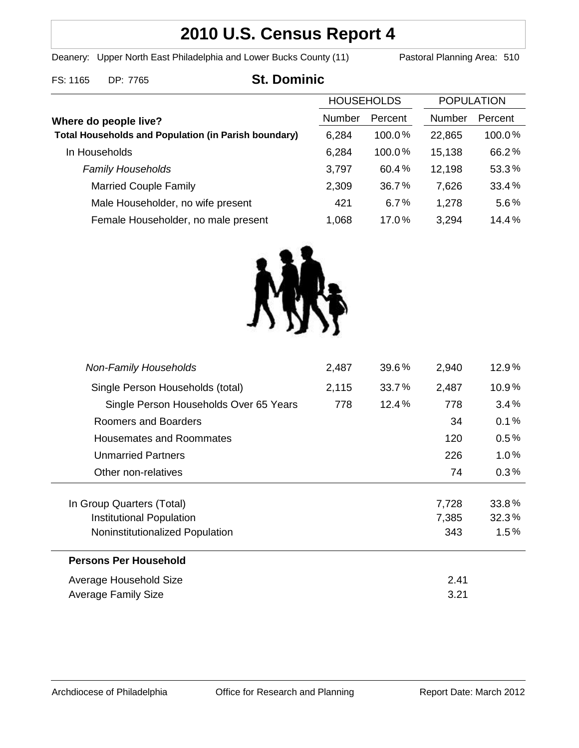# **2010 U.S. Census Report 4**

Deanery: Upper North East Philadelphia and Lower Bucks County (11) Pastoral Planning Area: 510

### FS: 1165 DP: 7765 **St. Dominic**

|                                                                                      | <b>HOUSEHOLDS</b> |         | <b>POPULATION</b> |         |
|--------------------------------------------------------------------------------------|-------------------|---------|-------------------|---------|
| Where do people live?<br><b>Total Households and Population (in Parish boundary)</b> | Number            | Percent | <b>Number</b>     | Percent |
|                                                                                      | 6,284             | 100.0%  | 22,865            | 100.0%  |
| In Households                                                                        | 6,284             | 100.0%  | 15,138            | 66.2%   |
| <b>Family Households</b>                                                             | 3,797             | 60.4%   | 12,198            | 53.3%   |
| <b>Married Couple Family</b>                                                         | 2,309             | 36.7%   | 7,626             | 33.4%   |
| Male Householder, no wife present                                                    | 421               | 6.7%    | 1,278             | 5.6%    |
| Female Householder, no male present                                                  | 1,068             | 17.0%   | 3,294             | 14.4%   |



|       |          | 3.21  |          |
|-------|----------|-------|----------|
| 2.41  |          |       |          |
|       |          |       |          |
|       |          | 343   | 1.5%     |
|       |          | 7,385 | 32.3%    |
|       |          | 7,728 | 33.8%    |
|       |          | 74    | 0.3%     |
|       |          | 226   | $1.0\%$  |
|       |          | 120   | $0.5\%$  |
|       |          | 34    | 0.1%     |
| 778   | $12.4\%$ | 778   | 3.4%     |
| 2,115 | 33.7%    | 2,487 | 10.9%    |
| 2,487 | $39.6\%$ | 2,940 | $12.9\%$ |
|       |          |       |          |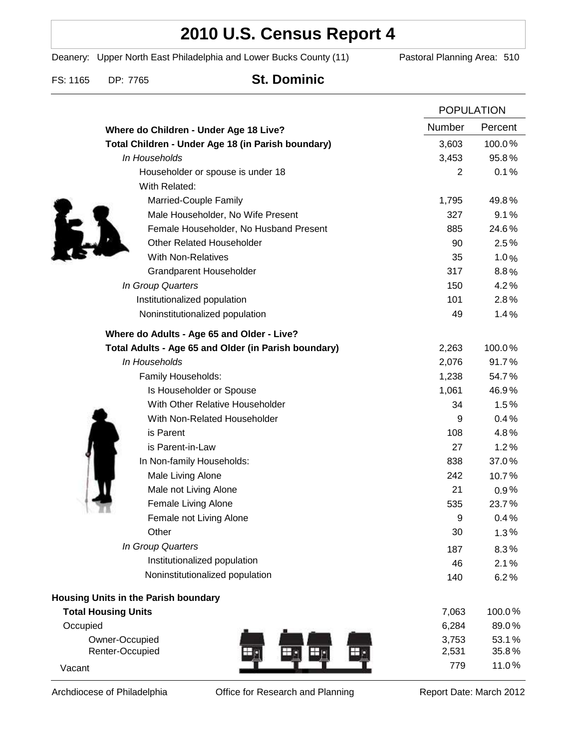## **2010 U.S. Census Report 4**

Deanery: Upper North East Philadelphia and Lower Bucks County (11) Pastoral Planning Area: 510

### FS: 1165 DP: 7765 **St. Dominic**

|                                                      | <b>POPULATION</b> |         |
|------------------------------------------------------|-------------------|---------|
| Where do Children - Under Age 18 Live?               | Number            | Percent |
| Total Children - Under Age 18 (in Parish boundary)   | 3,603             | 100.0%  |
| In Households                                        | 3,453             | 95.8%   |
| Householder or spouse is under 18                    | 2                 | 0.1%    |
| With Related:                                        |                   |         |
| Married-Couple Family                                | 1,795             | 49.8%   |
| Male Householder, No Wife Present                    | 327               | 9.1%    |
| Female Householder, No Husband Present               | 885               | 24.6%   |
| <b>Other Related Householder</b>                     | 90                | 2.5%    |
| <b>With Non-Relatives</b>                            | 35                | 1.0%    |
| <b>Grandparent Householder</b>                       | 317               | 8.8%    |
| In Group Quarters                                    | 150               | 4.2%    |
| Institutionalized population                         | 101               | 2.8%    |
| Noninstitutionalized population                      | 49                | 1.4%    |
| Where do Adults - Age 65 and Older - Live?           |                   |         |
| Total Adults - Age 65 and Older (in Parish boundary) | 2,263             | 100.0%  |
| In Households                                        | 2,076             | 91.7%   |
| Family Households:                                   | 1,238             | 54.7%   |
| Is Householder or Spouse                             | 1,061             | 46.9%   |
| With Other Relative Householder                      | 34                | 1.5%    |
| With Non-Related Householder                         | 9                 | 0.4%    |
| is Parent                                            | 108               | 4.8%    |
| is Parent-in-Law                                     | 27                | 1.2%    |
| In Non-family Households:                            | 838               | 37.0%   |
| Male Living Alone                                    | 242               | 10.7%   |
| Male not Living Alone                                | 21                | $0.9\%$ |
| Female Living Alone                                  | 535               | 23.7%   |
| Female not Living Alone                              | 9                 | 0.4%    |
| Other                                                | 30                | 1.3%    |
| In Group Quarters                                    | 187               | 8.3%    |
| Institutionalized population                         | 46                | 2.1%    |
| Noninstitutionalized population                      | 140               | 6.2%    |
| <b>Housing Units in the Parish boundary</b>          |                   |         |
| <b>Total Housing Units</b>                           | 7,063             | 100.0%  |
| Occupied                                             | 6,284             | 89.0%   |
| Owner-Occupied                                       | 3,753             | 53.1%   |
| Renter-Occupied                                      | 2,531             | 35.8%   |
| Vacant                                               | 779               | 11.0%   |

Archdiocese of Philadelphia **Office for Research and Planning** Report Date: March 2012